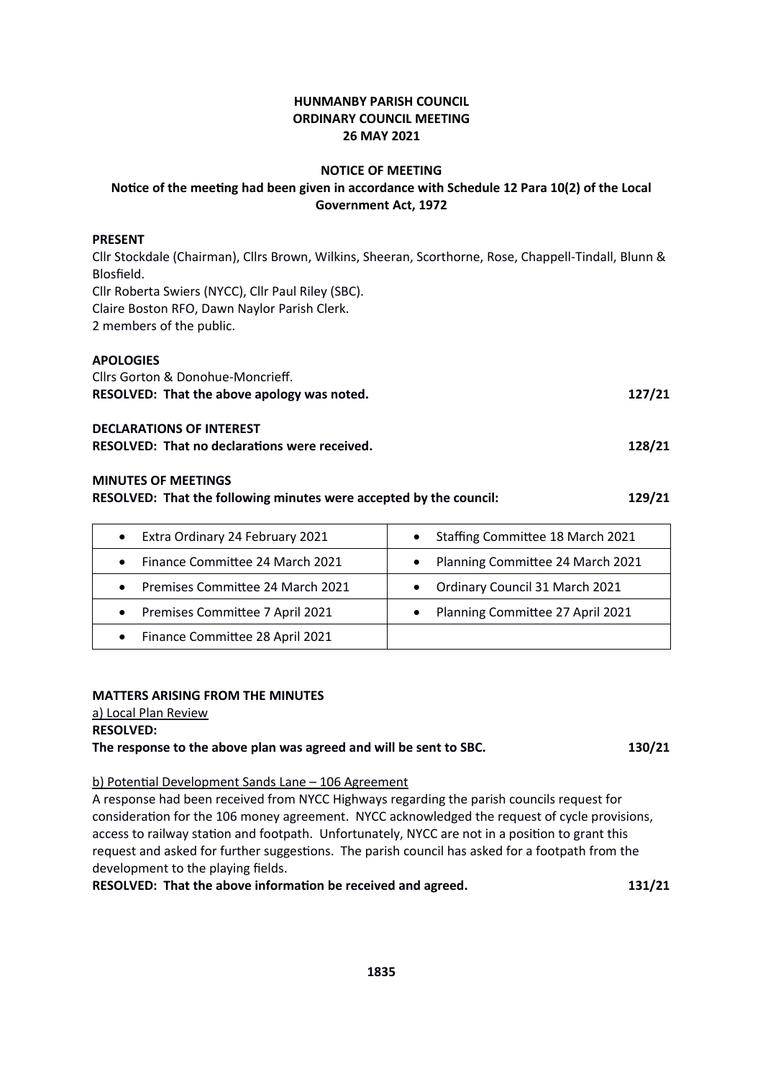### **HUNMANBY PARISH COUNCIL ORDINARY COUNCIL MEETING 26 MAY 2021**

### **NOTICE OF MEETING**

## **Notice of the meeting had been given in accordance with Schedule 12 Para 10(2) of the Local Government Act, 1972**

### **PRESENT**

Cllr Stockdale (Chairman), Cllrs Brown, Wilkins, Sheeran, Scorthorne, Rose, Chappell-Tindall, Blunn & Blosfield. Cllr Roberta Swiers (NYCC), Cllr Paul Riley (SBC). Claire Boston RFO, Dawn Naylor Parish Clerk. 2 members of the public.

## **APOLOGIES**

| Cllrs Gorton & Donohue-Moncrieff.                    |        |  |
|------------------------------------------------------|--------|--|
| RESOLVED: That the above apology was noted.          | 127/21 |  |
| <b>DECLARATIONS OF INTEREST</b>                      |        |  |
| <b>RESOLVED: That no declarations were received.</b> | 128/21 |  |

### **MINUTES OF MEETINGS**

|  |  | RESOLVED: That the following minutes were accepted by the council: | 129/21 |
|--|--|--------------------------------------------------------------------|--------|
|--|--|--------------------------------------------------------------------|--------|

| Extra Ordinary 24 February 2021<br>$\bullet$ | Staffing Committee 18 March 2021              |
|----------------------------------------------|-----------------------------------------------|
| Finance Committee 24 March 2021<br>$\bullet$ | Planning Committee 24 March 2021<br>$\bullet$ |
| • Premises Committee 24 March 2021           | • Ordinary Council 31 March 2021              |
| • Premises Committee 7 April 2021            | Planning Committee 27 April 2021<br>$\bullet$ |
| • Finance Committee 28 April 2021            |                                               |

### **MATTERS ARISING FROM THE MINUTES**

a) Local Plan Review **RESOLVED:** 

## **The response to the above plan was agreed and will be sent to SBC. 130/21**

### b) Potential Development Sands Lane – 106 Agreement

A response had been received from NYCC Highways regarding the parish councils request for consideration for the 106 money agreement. NYCC acknowledged the request of cycle provisions, access to railway station and footpath. Unfortunately, NYCC are not in a position to grant this request and asked for further suggestions. The parish council has asked for a footpath from the development to the playing fields.

**RESOLVED: That the above information be received and agreed. 131/21**